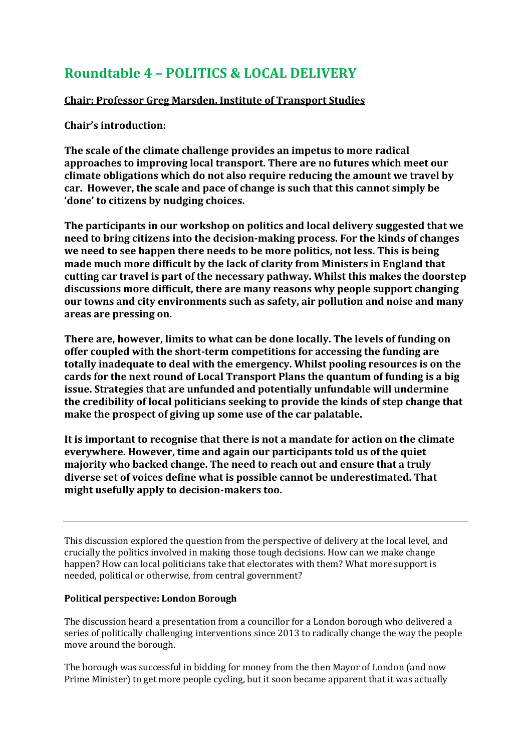# **Roundtable 4 – POLITICS & LOCAL DELIVERY**

# **Chair: Professor Greg Marsden, Institute of Transport Studies**

**Chair's introduction:**

**The scale of the climate challenge provides an impetus to more radical approaches to improving local transport. There are no futures which meet our climate obligations which do not also require reducing the amount we travel by car. However, the scale and pace of change is such that this cannot simply be 'done' to citizens by nudging choices.**

**The participants in our workshop on politics and local delivery suggested that we need to bring citizens into the decision-making process. For the kinds of changes we need to see happen there needs to be more politics, not less. This is being made much more difficult by the lack of clarity from Ministers in England that cutting car travel is part of the necessary pathway. Whilst this makes the doorstep discussions more difficult, there are many reasons why people support changing our towns and city environments such as safety, air pollution and noise and many areas are pressing on.**

**There are, however, limits to what can be done locally. The levels of funding on offer coupled with the short-term competitions for accessing the funding are totally inadequate to deal with the emergency. Whilst pooling resources is on the cards for the next round of Local Transport Plans the quantum of funding is a big issue. Strategies that are unfunded and potentially unfundable will undermine the credibility of local politicians seeking to provide the kinds of step change that make the prospect of giving up some use of the car palatable.**

**It is important to recognise that there is not a mandate for action on the climate everywhere. However, time and again our participants told us of the quiet majority who backed change. The need to reach out and ensure that a truly diverse set of voices define what is possible cannot be underestimated. That might usefully apply to decision-makers too.**

This discussion explored the question from the perspective of delivery at the local level, and crucially the politics involved in making those tough decisions. How can we make change happen? How can local politicians take that electorates with them? What more support is needed, political or otherwise, from central government?

# **Political perspective: London Borough**

The discussion heard a presentation from a councillor for a London borough who delivered a series of politically challenging interventions since 2013 to radically change the way the people move around the borough.

The borough was successful in bidding for money from the then Mayor of London (and now Prime Minister) to get more people cycling, but it soon became apparent that it was actually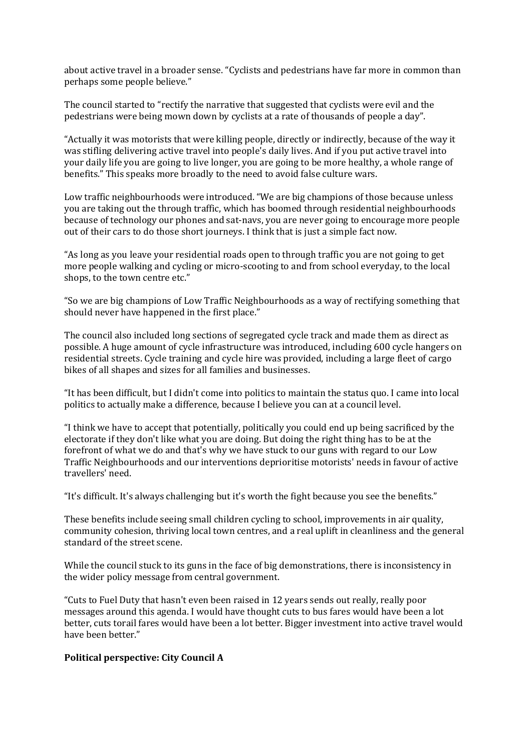about active travel in a broader sense. "Cyclists and pedestrians have far more in common than perhaps some people believe."

The council started to "rectify the narrative that suggested that cyclists were evil and the pedestrians were being mown down by cyclists at a rate of thousands of people a day".

"Actually it was motorists that were killing people, directly or indirectly, because of the way it was stifling delivering active travel into people's daily lives. And if you put active travel into your daily life you are going to live longer, you are going to be more healthy, a whole range of benefits." This speaks more broadly to the need to avoid false culture wars.

Low traffic neighbourhoods were introduced. "We are big champions of those because unless you are taking out the through traffic, which has boomed through residential neighbourhoods because of technology our phones and sat-navs, you are never going to encourage more people out of their cars to do those short journeys. I think that is just a simple fact now.

"As long as you leave your residential roads open to through traffic you are not going to get more people walking and cycling or micro-scooting to and from school everyday, to the local shops, to the town centre etc."

"So we are big champions of Low Traffic Neighbourhoods as a way of rectifying something that should never have happened in the first place."

The council also included long sections of segregated cycle track and made them as direct as possible. A huge amount of cycle infrastructure was introduced, including 600 cycle hangers on residential streets. Cycle training and cycle hire was provided, including a large fleet of cargo bikes of all shapes and sizes for all families and businesses.

"It has been difficult, but I didn't come into politics to maintain the status quo. I came into local politics to actually make a difference, because I believe you can at a council level.

"I think we have to accept that potentially, politically you could end up being sacrificed by the electorate if they don't like what you are doing. But doing the right thing has to be at the forefront of what we do and that's why we have stuck to our guns with regard to our Low Traffic Neighbourhoods and our interventions deprioritise motorists' needs in favour of active travellers' need.

"It's difficult. It's always challenging but it's worth the fight because you see the benefits."

These benefits include seeing small children cycling to school, improvements in air quality, community cohesion, thriving local town centres, and a real uplift in cleanliness and the general standard of the street scene.

While the council stuck to its guns in the face of big demonstrations, there is inconsistency in the wider policy message from central government.

"Cuts to Fuel Duty that hasn't even been raised in 12 years sends out really, really poor messages around this agenda. I would have thought cuts to bus fares would have been a lot better, cuts torail fares would have been a lot better. Bigger investment into active travel would have been better."

#### **Political perspective: City Council A**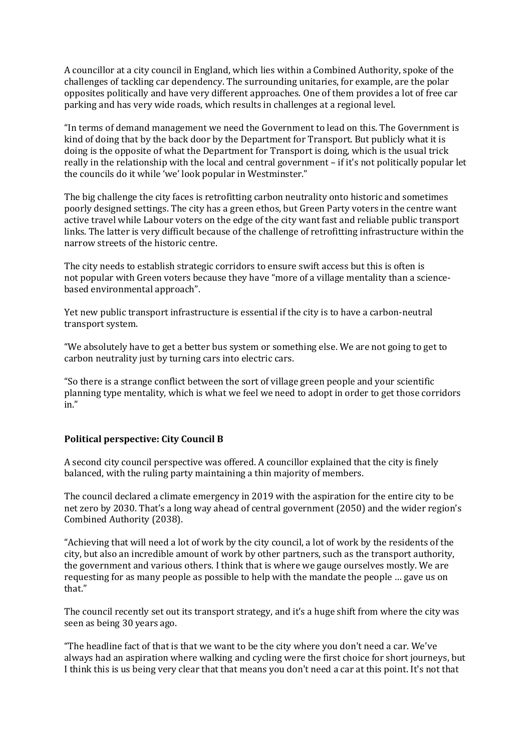A councillor at a city council in England, which lies within a Combined Authority, spoke of the challenges of tackling car dependency. The surrounding unitaries, for example, are the polar opposites politically and have very different approaches. One of them provides a lot of free car parking and has very wide roads, which results in challenges at a regional level.

"In terms of demand management we need the Government to lead on this. The Government is kind of doing that by the back door by the Department for Transport. But publicly what it is doing is the opposite of what the Department for Transport is doing, which is the usual trick really in the relationship with the local and central government – if it's not politically popular let the councils do it while 'we' look popular in Westminster."

The big challenge the city faces is retrofitting carbon neutrality onto historic and sometimes poorly designed settings. The city has a green ethos, but Green Party voters in the centre want active travel while Labour voters on the edge of the city want fast and reliable public transport links. The latter is very difficult because of the challenge of retrofitting infrastructure within the narrow streets of the historic centre.

The city needs to establish strategic corridors to ensure swift access but this is often is not popular with Green voters because they have "more of a village mentality than a sciencebased environmental approach".

Yet new public transport infrastructure is essential if the city is to have a carbon-neutral transport system.

"We absolutely have to get a better bus system or something else. We are not going to get to carbon neutrality just by turning cars into electric cars.

"So there is a strange conflict between the sort of village green people and your scientific planning type mentality, which is what we feel we need to adopt in order to get those corridors in."

# **Political perspective: City Council B**

A second city council perspective was offered. A councillor explained that the city is finely balanced, with the ruling party maintaining a thin majority of members.

The council declared a climate emergency in 2019 with the aspiration for the entire city to be net zero by 2030. That's a long way ahead of central government (2050) and the wider region's Combined Authority (2038).

"Achieving that will need a lot of work by the city council, a lot of work by the residents of the city, but also an incredible amount of work by other partners, such as the transport authority, the government and various others. I think that is where we gauge ourselves mostly. We are requesting for as many people as possible to help with the mandate the people … gave us on that."

The council recently set out its transport strategy, and it's a huge shift from where the city was seen as being 30 years ago.

"The headline fact of that is that we want to be the city where you don't need a car. We've always had an aspiration where walking and cycling were the first choice for short journeys, but I think this is us being very clear that that means you don't need a car at this point. It's not that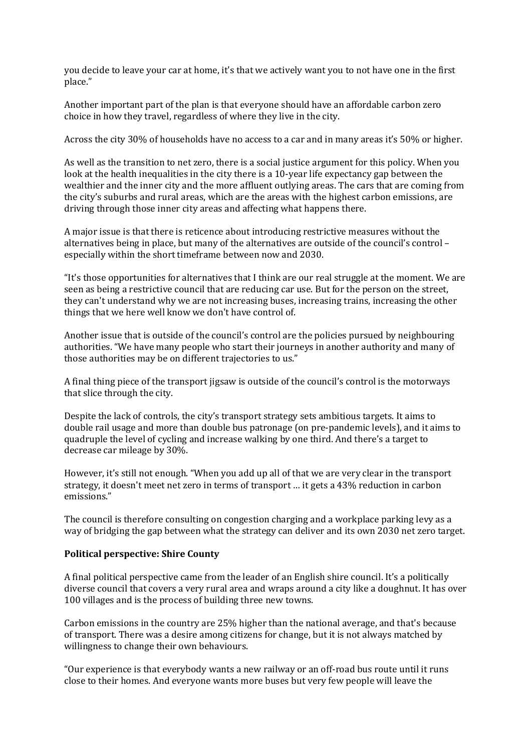you decide to leave your car at home, it's that we actively want you to not have one in the first place."

Another important part of the plan is that everyone should have an affordable carbon zero choice in how they travel, regardless of where they live in the city.

Across the city 30% of households have no access to a car and in many areas it's 50% or higher.

As well as the transition to net zero, there is a social justice argument for this policy. When you look at the health inequalities in the city there is a 10-year life expectancy gap between the wealthier and the inner city and the more affluent outlying areas. The cars that are coming from the city's suburbs and rural areas, which are the areas with the highest carbon emissions, are driving through those inner city areas and affecting what happens there.

A major issue is that there is reticence about introducing restrictive measures without the alternatives being in place, but many of the alternatives are outside of the council's control – especially within the short timeframe between now and 2030.

"It's those opportunities for alternatives that I think are our real struggle at the moment. We are seen as being a restrictive council that are reducing car use. But for the person on the street, they can't understand why we are not increasing buses, increasing trains, increasing the other things that we here well know we don't have control of.

Another issue that is outside of the council's control are the policies pursued by neighbouring authorities. "We have many people who start their journeys in another authority and many of those authorities may be on different trajectories to us."

A final thing piece of the transport jigsaw is outside of the council's control is the motorways that slice through the city.

Despite the lack of controls, the city's transport strategy sets ambitious targets. It aims to double rail usage and more than double bus patronage (on pre-pandemic levels), and it aims to quadruple the level of cycling and increase walking by one third. And there's a target to decrease car mileage by 30%.

However, it's still not enough. "When you add up all of that we are very clear in the transport strategy, it doesn't meet net zero in terms of transport … it gets a 43% reduction in carbon emissions."

The council is therefore consulting on congestion charging and a workplace parking levy as a way of bridging the gap between what the strategy can deliver and its own 2030 net zero target.

#### **Political perspective: Shire County**

A final political perspective came from the leader of an English shire council. It's a politically diverse council that covers a very rural area and wraps around a city like a doughnut. It has over 100 villages and is the process of building three new towns.

Carbon emissions in the country are 25% higher than the national average, and that's because of transport. There was a desire among citizens for change, but it is not always matched by willingness to change their own behaviours.

"Our experience is that everybody wants a new railway or an off-road bus route until it runs close to their homes. And everyone wants more buses but very few people will leave the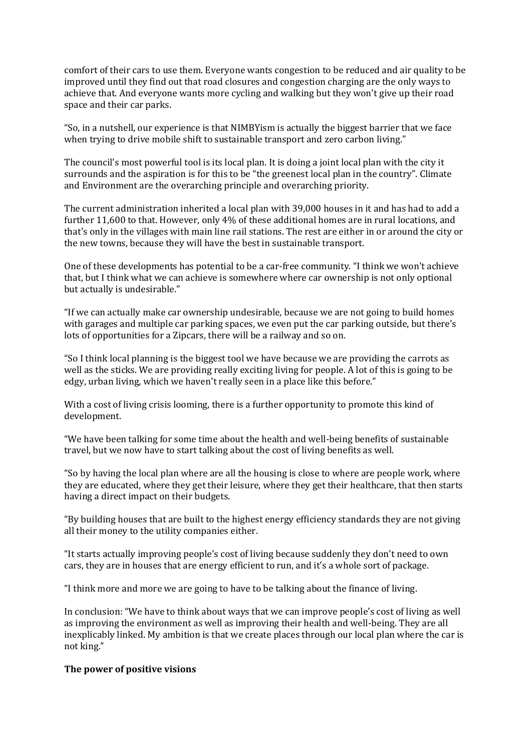comfort of their cars to use them. Everyone wants congestion to be reduced and air quality to be improved until they find out that road closures and congestion charging are the only ways to achieve that. And everyone wants more cycling and walking but they won't give up their road space and their car parks.

"So, in a nutshell, our experience is that NIMBYism is actually the biggest barrier that we face when trying to drive mobile shift to sustainable transport and zero carbon living."

The council's most powerful tool is its local plan. It is doing a joint local plan with the city it surrounds and the aspiration is for this to be "the greenest local plan in the country". Climate and Environment are the overarching principle and overarching priority.

The current administration inherited a local plan with 39,000 houses in it and has had to add a further 11,600 to that. However, only 4% of these additional homes are in rural locations, and that's only in the villages with main line rail stations. The rest are either in or around the city or the new towns, because they will have the best in sustainable transport.

One of these developments has potential to be a car-free community. "I think we won't achieve that, but I think what we can achieve is somewhere where car ownership is not only optional but actually is undesirable."

"If we can actually make car ownership undesirable, because we are not going to build homes with garages and multiple car parking spaces, we even put the car parking outside, but there's lots of opportunities for a Zipcars, there will be a railway and so on.

"So I think local planning is the biggest tool we have because we are providing the carrots as well as the sticks. We are providing really exciting living for people. A lot of this is going to be edgy, urban living, which we haven't really seen in a place like this before."

With a cost of living crisis looming, there is a further opportunity to promote this kind of development.

"We have been talking for some time about the health and well-being benefits of sustainable travel, but we now have to start talking about the cost of living benefits as well.

"So by having the local plan where are all the housing is close to where are people work, where they are educated, where they get their leisure, where they get their healthcare, that then starts having a direct impact on their budgets.

"By building houses that are built to the highest energy efficiency standards they are not giving all their money to the utility companies either.

"It starts actually improving people's cost of living because suddenly they don't need to own cars, they are in houses that are energy efficient to run, and it's a whole sort of package.

"I think more and more we are going to have to be talking about the finance of living.

In conclusion: "We have to think about ways that we can improve people's cost of living as well as improving the environment as well as improving their health and well-being. They are all inexplicably linked. My ambition is that we create places through our local plan where the car is not king."

#### **The power of positive visions**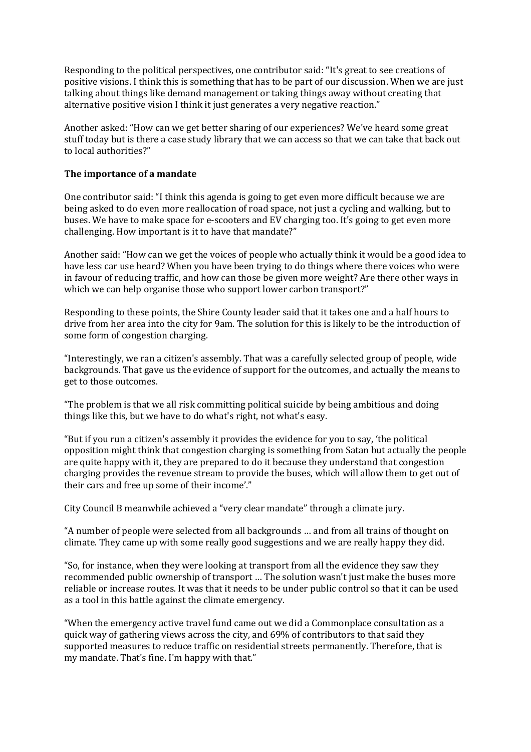Responding to the political perspectives, one contributor said: "It's great to see creations of positive visions. I think this is something that has to be part of our discussion. When we are just talking about things like demand management or taking things away without creating that alternative positive vision I think it just generates a very negative reaction."

Another asked: "How can we get better sharing of our experiences? We've heard some great stuff today but is there a case study library that we can access so that we can take that back out to local authorities?"

## **The importance of a mandate**

One contributor said: "I think this agenda is going to get even more difficult because we are being asked to do even more reallocation of road space, not just a cycling and walking, but to buses. We have to make space for e-scooters and EV charging too. It's going to get even more challenging. How important is it to have that mandate?"

Another said: "How can we get the voices of people who actually think it would be a good idea to have less car use heard? When you have been trying to do things where there voices who were in favour of reducing traffic, and how can those be given more weight? Are there other ways in which we can help organise those who support lower carbon transport?"

Responding to these points, the Shire County leader said that it takes one and a half hours to drive from her area into the city for 9am. The solution for this is likely to be the introduction of some form of congestion charging.

"Interestingly, we ran a citizen's assembly. That was a carefully selected group of people, wide backgrounds. That gave us the evidence of support for the outcomes, and actually the means to get to those outcomes.

"The problem is that we all risk committing political suicide by being ambitious and doing things like this, but we have to do what's right, not what's easy.

"But if you run a citizen's assembly it provides the evidence for you to say, 'the political opposition might think that congestion charging is something from Satan but actually the people are quite happy with it, they are prepared to do it because they understand that congestion charging provides the revenue stream to provide the buses, which will allow them to get out of their cars and free up some of their income'."

City Council B meanwhile achieved a "very clear mandate" through a climate jury.

"A number of people were selected from all backgrounds … and from all trains of thought on climate. They came up with some really good suggestions and we are really happy they did.

"So, for instance, when they were looking at transport from all the evidence they saw they recommended public ownership of transport … The solution wasn't just make the buses more reliable or increase routes. It was that it needs to be under public control so that it can be used as a tool in this battle against the climate emergency.

"When the emergency active travel fund came out we did a Commonplace consultation as a quick way of gathering views across the city, and 69% of contributors to that said they supported measures to reduce traffic on residential streets permanently. Therefore, that is my mandate. That's fine. I'm happy with that."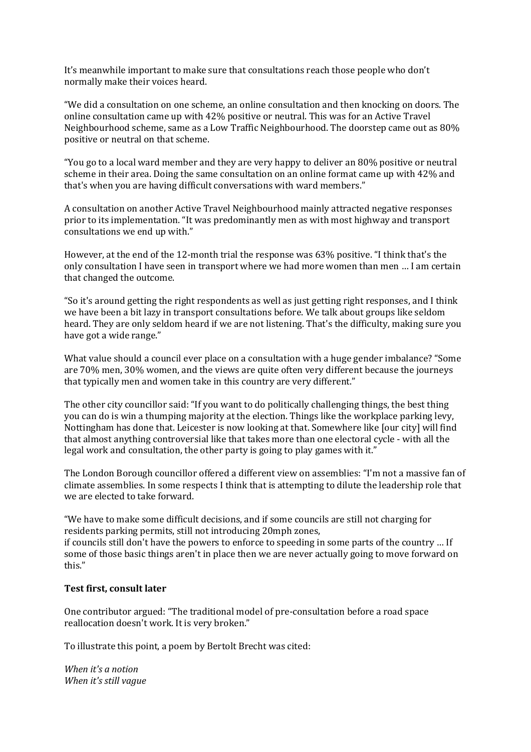It's meanwhile important to make sure that consultations reach those people who don't normally make their voices heard.

"We did a consultation on one scheme, an online consultation and then knocking on doors. The online consultation came up with 42% positive or neutral. This was for an Active Travel Neighbourhood scheme, same as a Low Traffic Neighbourhood. The doorstep came out as 80% positive or neutral on that scheme.

"You go to a local ward member and they are very happy to deliver an 80% positive or neutral scheme in their area. Doing the same consultation on an online format came up with 42% and that's when you are having difficult conversations with ward members."

A consultation on another Active Travel Neighbourhood mainly attracted negative responses prior to its implementation. "It was predominantly men as with most highway and transport consultations we end up with."

However, at the end of the 12-month trial the response was 63% positive. "I think that's the only consultation I have seen in transport where we had more women than men … I am certain that changed the outcome.

"So it's around getting the right respondents as well as just getting right responses, and I think we have been a bit lazy in transport consultations before. We talk about groups like seldom heard. They are only seldom heard if we are not listening. That's the difficulty, making sure you have got a wide range."

What value should a council ever place on a consultation with a huge gender imbalance? "Some are 70% men, 30% women, and the views are quite often very different because the journeys that typically men and women take in this country are very different."

The other city councillor said: "If you want to do politically challenging things, the best thing you can do is win a thumping majority at the election. Things like the workplace parking levy, Nottingham has done that. Leicester is now looking at that. Somewhere like [our city] will find that almost anything controversial like that takes more than one electoral cycle - with all the legal work and consultation, the other party is going to play games with it."

The London Borough councillor offered a different view on assemblies: "I'm not a massive fan of climate assemblies. In some respects I think that is attempting to dilute the leadership role that we are elected to take forward.

"We have to make some difficult decisions, and if some councils are still not charging for residents parking permits, still not introducing 20mph zones,

if councils still don't have the powers to enforce to speeding in some parts of the country … If some of those basic things aren't in place then we are never actually going to move forward on this."

#### **Test first, consult later**

One contributor argued: "The traditional model of pre-consultation before a road space reallocation doesn't work. It is very broken."

To illustrate this point, a poem by Bertolt Brecht was cited:

*When it's a notion When it's still vague*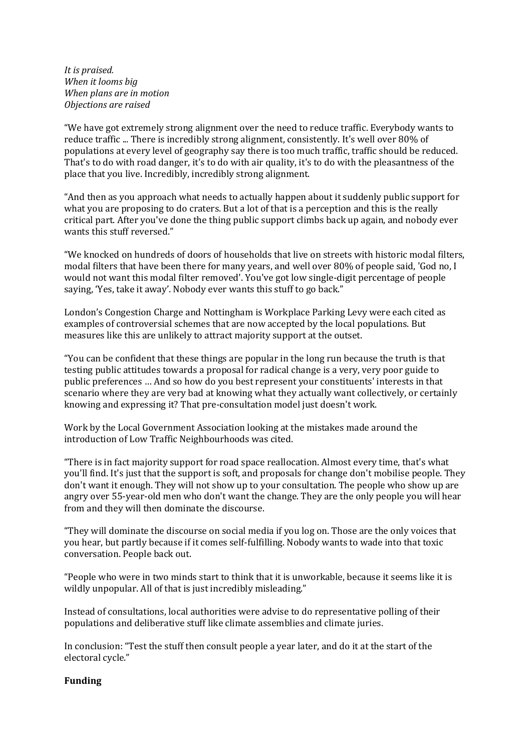*It is praised. When it looms big When plans are in motion Objections are raised*

"We have got extremely strong alignment over the need to reduce traffic. Everybody wants to reduce traffic ... There is incredibly strong alignment, consistently. It's well over 80% of populations at every level of geography say there is too much traffic, traffic should be reduced. That's to do with road danger, it's to do with air quality, it's to do with the pleasantness of the place that you live. Incredibly, incredibly strong alignment.

"And then as you approach what needs to actually happen about it suddenly public support for what you are proposing to do craters. But a lot of that is a perception and this is the really critical part. After you've done the thing public support climbs back up again, and nobody ever wants this stuff reversed."

"We knocked on hundreds of doors of households that live on streets with historic modal filters, modal filters that have been there for many years, and well over 80% of people said, 'God no, I would not want this modal filter removed'. You've got low single-digit percentage of people saying, 'Yes, take it away'. Nobody ever wants this stuff to go back."

London's Congestion Charge and Nottingham is Workplace Parking Levy were each cited as examples of controversial schemes that are now accepted by the local populations. But measures like this are unlikely to attract majority support at the outset.

"You can be confident that these things are popular in the long run because the truth is that testing public attitudes towards a proposal for radical change is a very, very poor guide to public preferences … And so how do you best represent your constituents' interests in that scenario where they are very bad at knowing what they actually want collectively, or certainly knowing and expressing it? That pre-consultation model just doesn't work.

Work by the Local Government Association looking at the mistakes made around the introduction of Low Traffic Neighbourhoods was cited.

"There is in fact majority support for road space reallocation. Almost every time, that's what you'll find. It's just that the support is soft, and proposals for change don't mobilise people. They don't want it enough. They will not show up to your consultation. The people who show up are angry over 55-year-old men who don't want the change. They are the only people you will hear from and they will then dominate the discourse.

"They will dominate the discourse on social media if you log on. Those are the only voices that you hear, but partly because if it comes self-fulfilling. Nobody wants to wade into that toxic conversation. People back out.

"People who were in two minds start to think that it is unworkable, because it seems like it is wildly unpopular. All of that is just incredibly misleading."

Instead of consultations, local authorities were advise to do representative polling of their populations and deliberative stuff like climate assemblies and climate juries.

In conclusion: "Test the stuff then consult people a year later, and do it at the start of the electoral cycle."

# **Funding**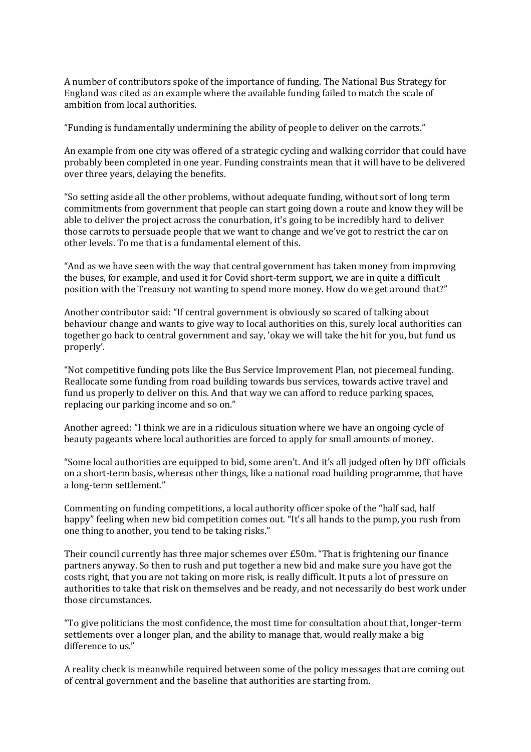A number of contributors spoke of the importance of funding. The National Bus Strategy for England was cited as an example where the available funding failed to match the scale of ambition from local authorities.

"Funding is fundamentally undermining the ability of people to deliver on the carrots."

An example from one city was offered of a strategic cycling and walking corridor that could have probably been completed in one year. Funding constraints mean that it will have to be delivered over three years, delaying the benefits.

"So setting aside all the other problems, without adequate funding, without sort of long term commitments from government that people can start going down a route and know they will be able to deliver the project across the conurbation, it's going to be incredibly hard to deliver those carrots to persuade people that we want to change and we've got to restrict the car on other levels. To me that is a fundamental element of this.

"And as we have seen with the way that central government has taken money from improving the buses, for example, and used it for Covid short-term support, we are in quite a difficult position with the Treasury not wanting to spend more money. How do we get around that?"

Another contributor said: "If central government is obviously so scared of talking about behaviour change and wants to give way to local authorities on this, surely local authorities can together go back to central government and say, 'okay we will take the hit for you, but fund us properly'.

"Not competitive funding pots like the Bus Service Improvement Plan, not piecemeal funding. Reallocate some funding from road building towards bus services, towards active travel and fund us properly to deliver on this. And that way we can afford to reduce parking spaces, replacing our parking income and so on."

Another agreed: "I think we are in a ridiculous situation where we have an ongoing cycle of beauty pageants where local authorities are forced to apply for small amounts of money.

"Some local authorities are equipped to bid, some aren't. And it's all judged often by DfT officials on a short-term basis, whereas other things, like a national road building programme, that have a long-term settlement."

Commenting on funding competitions, a local authority officer spoke of the "half sad, half happy" feeling when new bid competition comes out. "It's all hands to the pump, you rush from one thing to another, you tend to be taking risks."

Their council currently has three major schemes over £50m. "That is frightening our finance partners anyway. So then to rush and put together a new bid and make sure you have got the costs right, that you are not taking on more risk, is really difficult. It puts a lot of pressure on authorities to take that risk on themselves and be ready, and not necessarily do best work under those circumstances.

"To give politicians the most confidence, the most time for consultation about that, longer-term settlements over a longer plan, and the ability to manage that, would really make a big difference to us."

A reality check is meanwhile required between some of the policy messages that are coming out of central government and the baseline that authorities are starting from.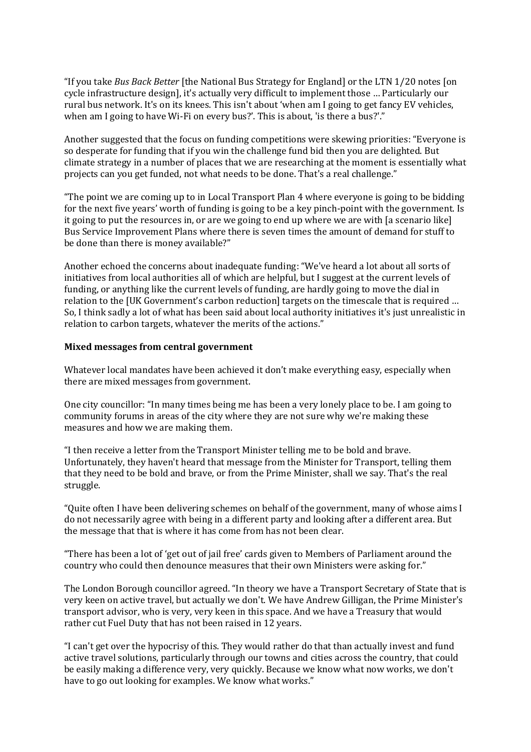"If you take *Bus Back Better* [the National Bus Strategy for England] or the LTN 1/20 notes [on cycle infrastructure design], it's actually very difficult to implement those … Particularly our rural bus network. It's on its knees. This isn't about 'when am I going to get fancy EV vehicles, when am I going to have Wi-Fi on every bus?'. This is about, 'is there a bus?'."

Another suggested that the focus on funding competitions were skewing priorities: "Everyone is so desperate for funding that if you win the challenge fund bid then you are delighted. But climate strategy in a number of places that we are researching at the moment is essentially what projects can you get funded, not what needs to be done. That's a real challenge."

"The point we are coming up to in Local Transport Plan 4 where everyone is going to be bidding for the next five years' worth of funding is going to be a key pinch-point with the government. Is it going to put the resources in, or are we going to end up where we are with [a scenario like] Bus Service Improvement Plans where there is seven times the amount of demand for stuff to be done than there is money available?"

Another echoed the concerns about inadequate funding: "We've heard a lot about all sorts of initiatives from local authorities all of which are helpful, but I suggest at the current levels of funding, or anything like the current levels of funding, are hardly going to move the dial in relation to the [UK Government's carbon reduction] targets on the timescale that is required … So, I think sadly a lot of what has been said about local authority initiatives it's just unrealistic in relation to carbon targets, whatever the merits of the actions."

#### **Mixed messages from central government**

Whatever local mandates have been achieved it don't make everything easy, especially when there are mixed messages from government.

One city councillor: "In many times being me has been a very lonely place to be. I am going to community forums in areas of the city where they are not sure why we're making these measures and how we are making them.

"I then receive a letter from the Transport Minister telling me to be bold and brave. Unfortunately, they haven't heard that message from the Minister for Transport, telling them that they need to be bold and brave, or from the Prime Minister, shall we say. That's the real struggle.

"Quite often I have been delivering schemes on behalf of the government, many of whose aims I do not necessarily agree with being in a different party and looking after a different area. But the message that that is where it has come from has not been clear.

"There has been a lot of 'get out of jail free' cards given to Members of Parliament around the country who could then denounce measures that their own Ministers were asking for."

The London Borough councillor agreed. "In theory we have a Transport Secretary of State that is very keen on active travel, but actually we don't. We have Andrew Gilligan, the Prime Minister's transport advisor, who is very, very keen in this space. And we have a Treasury that would rather cut Fuel Duty that has not been raised in 12 years.

"I can't get over the hypocrisy of this. They would rather do that than actually invest and fund active travel solutions, particularly through our towns and cities across the country, that could be easily making a difference very, very quickly. Because we know what now works, we don't have to go out looking for examples. We know what works."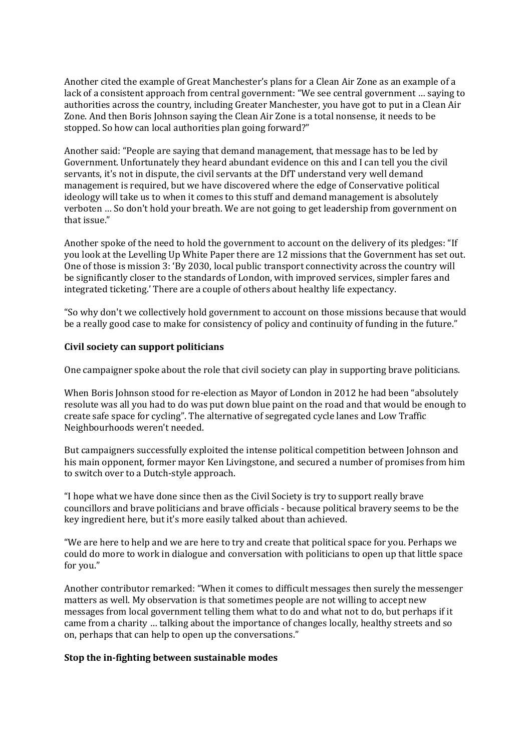Another cited the example of Great Manchester's plans for a Clean Air Zone as an example of a lack of a consistent approach from central government: "We see central government … saying to authorities across the country, including Greater Manchester, you have got to put in a Clean Air Zone. And then Boris Johnson saying the Clean Air Zone is a total nonsense, it needs to be stopped. So how can local authorities plan going forward?"

Another said: "People are saying that demand management, that message has to be led by Government. Unfortunately they heard abundant evidence on this and I can tell you the civil servants, it's not in dispute, the civil servants at the DfT understand very well demand management is required, but we have discovered where the edge of Conservative political ideology will take us to when it comes to this stuff and demand management is absolutely verboten … So don't hold your breath. We are not going to get leadership from government on that issue."

Another spoke of the need to hold the government to account on the delivery of its pledges: "If you look at the Levelling Up White Paper there are 12 missions that the Government has set out. One of those is mission 3: 'By 2030, local public transport connectivity across the country will be significantly closer to the standards of London, with improved services, simpler fares and integrated ticketing.' There are a couple of others about healthy life expectancy.

"So why don't we collectively hold government to account on those missions because that would be a really good case to make for consistency of policy and continuity of funding in the future."

### **Civil society can support politicians**

One campaigner spoke about the role that civil society can play in supporting brave politicians.

When Boris Johnson stood for re-election as Mayor of London in 2012 he had been "absolutely resolute was all you had to do was put down blue paint on the road and that would be enough to create safe space for cycling". The alternative of segregated cycle lanes and Low Traffic Neighbourhoods weren't needed.

But campaigners successfully exploited the intense political competition between Johnson and his main opponent, former mayor Ken Livingstone, and secured a number of promises from him to switch over to a Dutch-style approach.

"I hope what we have done since then as the Civil Society is try to support really brave councillors and brave politicians and brave officials - because political bravery seems to be the key ingredient here, but it's more easily talked about than achieved.

"We are here to help and we are here to try and create that political space for you. Perhaps we could do more to work in dialogue and conversation with politicians to open up that little space for you."

Another contributor remarked: "When it comes to difficult messages then surely the messenger matters as well. My observation is that sometimes people are not willing to accept new messages from local government telling them what to do and what not to do, but perhaps if it came from a charity … talking about the importance of changes locally, healthy streets and so on, perhaps that can help to open up the conversations."

#### **Stop the in-fighting between sustainable modes**